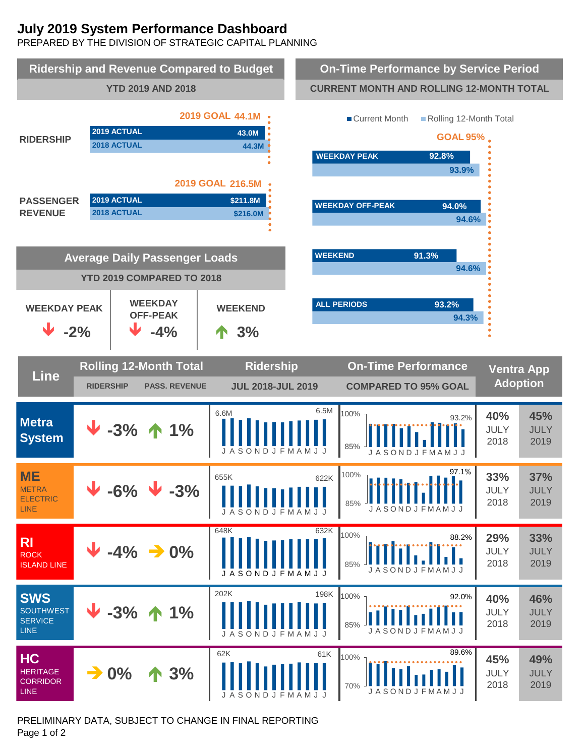# **July 2019 System Performance Dashboard**

PREPARED BY THE DIVISION OF STRATEGIC CAPITAL PLANNING



PRELIMINARY DATA, SUBJECT TO CHANGE IN FINAL REPORTING Page 1 of 2